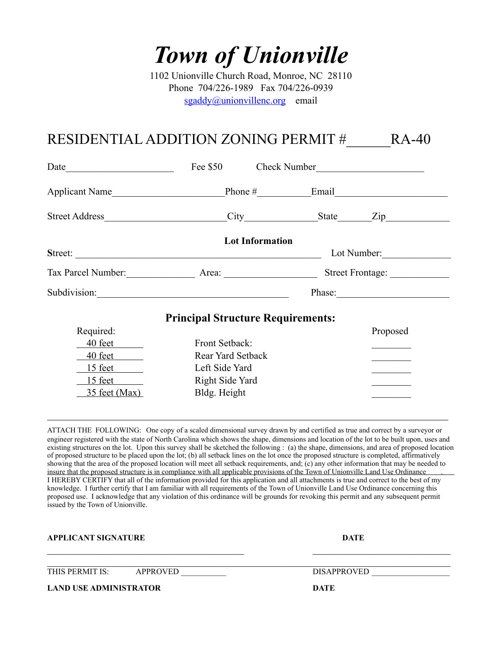## *Town of Unionville*

1102 Unionville Church Road, Monroe, NC 28110 Phone 704/226-1989 Fax 704/226-0939 [sgaddy@unionvillenc.org](mailto:sgaddy@unionvillenc.org) email

## RESIDENTIAL ADDITION ZONING PERMIT # RA-40

| Date           | Fee \$50 Check Number                    |                  |                                                                                                                                                                                                                                                                                                                                                                                                              |
|----------------|------------------------------------------|------------------|--------------------------------------------------------------------------------------------------------------------------------------------------------------------------------------------------------------------------------------------------------------------------------------------------------------------------------------------------------------------------------------------------------------|
| Applicant Name |                                          |                  | Phone $#$ Email                                                                                                                                                                                                                                                                                                                                                                                              |
| Street Address |                                          |                  | City State Zip                                                                                                                                                                                                                                                                                                                                                                                               |
|                | <b>Lot Information</b>                   |                  |                                                                                                                                                                                                                                                                                                                                                                                                              |
|                | Lot Number:                              |                  |                                                                                                                                                                                                                                                                                                                                                                                                              |
|                |                                          | Street Frontage: |                                                                                                                                                                                                                                                                                                                                                                                                              |
|                |                                          |                  | Phase: $\frac{1}{\sqrt{1-\frac{1}{2}}\sqrt{1-\frac{1}{2}}\sqrt{1-\frac{1}{2}}\sqrt{1-\frac{1}{2}}\sqrt{1-\frac{1}{2}}\sqrt{1-\frac{1}{2}}\sqrt{1-\frac{1}{2}}\sqrt{1-\frac{1}{2}}\sqrt{1-\frac{1}{2}}\sqrt{1-\frac{1}{2}}\sqrt{1-\frac{1}{2}}\sqrt{1-\frac{1}{2}}\sqrt{1-\frac{1}{2}}\sqrt{1-\frac{1}{2}}\sqrt{1-\frac{1}{2}}\sqrt{1-\frac{1}{2}}\sqrt{1-\frac{1}{2}}\sqrt{1-\frac{1}{2}}\sqrt{1-\frac{1}{2$ |
|                | <b>Principal Structure Requirements:</b> |                  |                                                                                                                                                                                                                                                                                                                                                                                                              |
| Required:      |                                          |                  | Proposed                                                                                                                                                                                                                                                                                                                                                                                                     |
| 40 feet        | Front Setback:                           |                  |                                                                                                                                                                                                                                                                                                                                                                                                              |
| 40 feet        | Rear Yard Setback                        |                  | and the control of the control of                                                                                                                                                                                                                                                                                                                                                                            |
|                | Left Side Yard                           |                  |                                                                                                                                                                                                                                                                                                                                                                                                              |
| 15 feet        | Right Side Yard                          |                  |                                                                                                                                                                                                                                                                                                                                                                                                              |
| 35 feet (Max)  | Bldg. Height                             |                  |                                                                                                                                                                                                                                                                                                                                                                                                              |

ATTACH THE FOLLOWING: One copy of a scaled dimensional survey drawn by and certified as true and correct by a surveyor or engineer registered with the state of North Carolina which shows the shape, dimensions and location of the lot to be built upon, uses and existing structures on the lot. Upon this survey shall be sketched the following : (a) the shape, dimensions, and area of proposed location of proposed structure to be placed upon the lot; (b) all setback lines on the lot once the proposed structure is completed, affirmatively showing that the area of the proposed location will meet all setback requirements, and; (c) any other information that may be needed to insure that the proposed structure is in compliance with all applicable provisions of the Town of Unionville Land Use Ordinance . I HEREBY CERTIFY that all of the information provided for this application and all attachments is true and correct to the best of my knowledge. I further certify that I am familiar with all requirements of the Town of Unionville Land Use Ordinance concerning this proposed use. I acknowledge that any violation of this ordinance will be grounds for revoking this permit and any subsequent permit issued by the Town of Unionville.

 $\_$  , and the contribution of the contribution of  $\mathcal{L}_\mathcal{A}$  , and the contribution of  $\mathcal{L}_\mathcal{A}$ 

**APPLICANT SIGNATURE DATE** 

THIS PERMIT IS: APPROVED DISAPPROVED

 $\_$  , and the contribution of the contribution of the contribution of the contribution of  $\mathcal{L}_\mathcal{A}$ 

**LAND USE ADMINISTRATOR DATE**